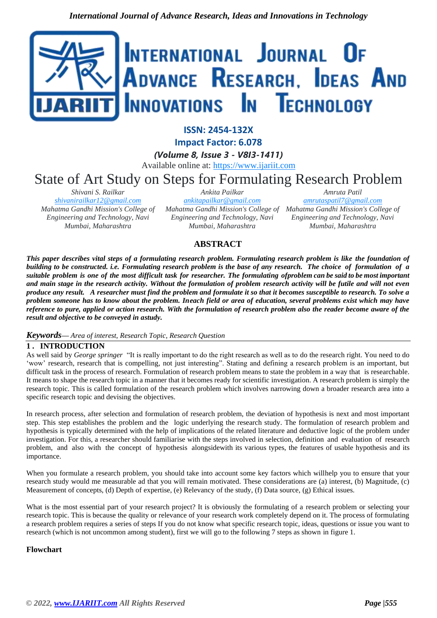

**ISSN: 2454-132X**

**Impact Factor: 6.078**

*(Volume 8, Issue 3 - V8I3-1411)* Available online at: [https://www.ijariit.com](https://www.ijariit.com/?utm_source=pdf&utm_medium=edition&utm_campaign=OmAkSols&utm_term=V8I3-1411)

State of Art Study on Steps for Formulating Research Problem

*Shivani S. Railkar [shivanirailkar12@gmail.com](mailto:shivanirailkar12@gmail.com) Mahatma Gandhi Mission's College of Engineering and Technology, Navi Mumbai, Maharashtra*

*Ankita Pailkar [ankitapailkar@gmail.com](mailto:ankitapailkar@gmail.com) Mahatma Gandhi Mission's College of Mahatma Gandhi Mission's College of Engineering and Technology, Navi Mumbai, Maharashtra*

*Amruta Patil [amrutaspatil7@gmail.com](mailto:amrutaspatil7@gmail.com) Engineering and Technology, Navi Mumbai, Maharashtra*

# **ABSTRACT**

*This paper describes vital steps of a formulating research problem. Formulating research problem is like the foundation of building to be constructed. i.e. Formulating research problem is the base of any research. The choice of formulation of a suitable problem is one of the most difficult task for researcher. The formulating ofproblem can be said to be most important and main stage in the research activity. Without the formulation of problem research activity will be futile and will not even produce any result. A researcher must find the problem and formulate it so that it becomes susceptible to research. To solve a problem someone has to know about the problem. Ineach field or area of education, several problems exist which may have reference to pure, applied or action research. With the formulation of research problem also the reader become aware of the result and objective to be conveyed in astudy.*

### *Keywords— Area of interest, Research Topic, Research Question*

## **1. INTRODUCTION**

As well said by *George springer* "It is really important to do the right research as well as to do the research right. You need to do 'wow' research, research that is compelling, not just interesting". Stating and defining a research problem is an important, but difficult task in the process of research. Formulation of research problem means to state the problem in a way that is researchable. It means to shape the research topic in a manner that it becomes ready for scientific investigation. A research problem is simply the research topic. This is called formulation of the research problem which involves narrowing down a broader research area into a specific research topic and devising the objectives.

In research process, after selection and formulation of research problem, the deviation of hypothesis is next and most important step. This step establishes the problem and the logic underlying the research study. The formulation of research problem and hypothesis is typically determined with the help of implications of the related literature and deductive logic of the problem under investigation. For this, a researcher should familiarise with the steps involved in selection, definition and evaluation of research problem, and also with the concept of hypothesis alongsidewith its various types, the features of usable hypothesis and its importance.

When you formulate a research problem, you should take into account some key factors which willhelp you to ensure that your research study would me measurable ad that you will remain motivated. These considerations are (a) interest, (b) Magnitude, (c) Measurement of concepts, (d) Depth of expertise, (e) Relevancy of the study, (f) Data source, (g) Ethical issues.

What is the most essential part of your research project? It is obviously the formulating of a research problem or selecting your research topic. This is because the quality or relevance of your research work completely depend on it. The process of formulating a research problem requires a series of steps If you do not know what specific research topic, ideas, questions or issue you want to research (which is not uncommon among student), first we will go to the following 7 steps as shown in figure 1.

### **Flowchart**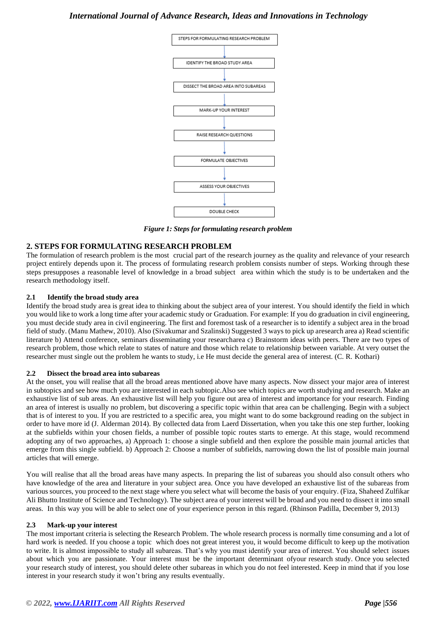## *International Journal of Advance Research, Ideas and Innovations in Technology*



*Figure 1: Steps for formulating research problem*

## **2. STEPS FOR FORMULATING RESEARCH PROBLEM**

The formulation of research problem is the most crucial part of the research journey as the quality and relevance of your research project entirely depends upon it. The process of formulating research problem consists number of steps. Working through these steps presupposes a reasonable level of knowledge in a broad subject area within which the study is to be undertaken and the research methodology itself.

### **2.1 Identify the broad study area**

Identify the broad study area is great idea to thinking about the subject area of your interest. You should identify the field in which you would like to work a long time after your academic study or Graduation. For example: If you do graduation in civil engineering, you must decide study area in civil engineering. The first and foremost task of a researcher is to identify a subject area in the broad field of study. (Manu Mathew, 2010). Also (Sivakumar and Szalinski) Suggested 3 ways to pick up aresearch area a) Read scientific literature b) Attend conference, seminars disseminating your researcharea c) Brainstorm ideas with peers. There are two types of research problem, those which relate to states of nature and those which relate to relationship between variable. At very outset the researcher must single out the problem he wants to study, i.e He must decide the general area of interest. (C. R. Kothari)

### **2.2 Dissect the broad area into subareas**

At the onset, you will realise that all the broad areas mentioned above have many aspects. Now dissect your major area of interest in subtopics and see how much you are interested in each subtopic.Also see which topics are worth studying and research. Make an exhaustive list of sub areas. An exhaustive list will help you figure out area of interest and importance for your research. Finding an area of interest is usually no problem, but discovering a specific topic within that area can be challenging. Begin with a subject that is of interest to you. If you are restricted to a specific area, you might want to do some background reading on the subject in order to have more id (J. Alderman 2014). By collected data from Laerd Dissertation, when you take this one step further, looking at the subfields within your chosen fields, a number of possible topic routes starts to emerge. At this stage, would recommend adopting any of two approaches, a) Approach 1: choose a single subfield and then explore the possible main journal articles that emerge from this single subfield. b) Approach 2: Choose a number of subfields, narrowing down the list of possible main journal articles that will emerge.

You will realise that all the broad areas have many aspects. In preparing the list of subareas you should also consult others who have knowledge of the area and literature in your subject area. Once you have developed an exhaustive list of the subareas from various sources, you proceed to the next stage where you select what will become the basis of your enquiry. (Fiza, Shaheed Zulfikar Ali Bhutto Institute of Science and Technology). The subject area of your interest will be broad and you need to dissect it into small areas. In this way you will be able to select one of your experience person in this regard. (Rhinson Padilla, December 9, 2013)

### **2.3 Mark-up your interest**

The most important criteria is selecting the Research Problem. The whole research process is normally time consuming and a lot of hard work is needed. If you choose a topic which does not great interest you, it would become difficult to keep up the motivation to write. It is almost impossible to study all subareas. That's why you must identify your area of interest. You should select issues about which you are passionate. Your interest must be the important determinant ofyour research study. Once you selected your research study of interest, you should delete other subareas in which you do not feel interested. Keep in mind that if you lose interest in your research study it won't bring any results eventually.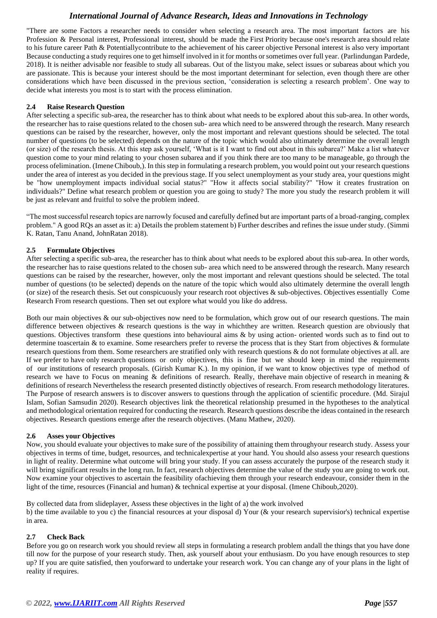## *International Journal of Advance Research, Ideas and Innovations in Technology*

"There are some Factors a researcher needs to consider when selecting a research area. The most important factors are his Profession & Personal interest, Professional interest, should be made the First Priority because one's research area should relate to his future career Path & Potentiallycontribute to the achievement of his career objective Personal interest is also very important Because conducting a study requires one to get himself involved in it for months or sometimes over full year. (Parlindungan Pardede, 2018). It is neither advisable nor feasible to study all subareas. Out of the listyou make, select issues or subareas about which you are passionate. This is because your interest should be the most important determinant for selection, even though there are other considerations which have been discussed in the previous section, 'consideration is selecting a research problem'. One way to decide what interests you most is to start with the process elimination.

### **2.4 Raise Research Question**

After selecting a specific sub-area, the researcher has to think about what needs to be explored about this sub-area. In other words, the researcher has to raise questions related to the chosen sub- area which need to be answered through the research. Many research questions can be raised by the researcher, however, only the most important and relevant questions should be selected. The total number of questions (to be selected) depends on the nature of the topic which would also ultimately determine the overall length (or size) of the research thesis. At this step ask yourself, 'What is it I want to find out about in this subarea?' Make a list whatever question come to your mind relating to your chosen subarea and if you think there are too many to be manageable, go through the process ofelimination. (Imene Chiboub,). In this step in formulating a research problem, you would point out your research questions under the area of interest as you decided in the previous stage. If you select unemployment as your study area, your questions might be "how unemployment impacts individual social status?" "How it affects social stability?" "How it creates frustration on individuals?" Define what research problem or question you are going to study? The more you study the research problem it will be just as relevant and fruitful to solve the problem indeed.

"The most successful research topics are narrowly focused and carefully defined but are important parts of a broad-ranging, complex problem." A good RQs an asset as it: a) Details the problem statement b) Further describes and refines the issue under study. (Simmi K. Ratan, Tanu Anand, JohnRatan 2018).

### **2.5 Formulate Objectives**

After selecting a specific sub-area, the researcher has to think about what needs to be explored about this sub-area. In other words, the researcher has to raise questions related to the chosen sub- area which need to be answered through the research. Many research questions can be raised by the researcher, however, only the most important and relevant questions should be selected. The total number of questions (to be selected) depends on the nature of the topic which would also ultimately determine the overall length (or size) of the research thesis. Set out conspicuously your research root objectives & sub-objectives. Objectives essentially Come Research From research questions. Then set out explore what would you like do address.

Both our main objectives & our sub-objectives now need to be formulation, which grow out of our research questions. The main difference between objectives & research questions is the way in whichthey are written. Research question are obviously that questions. Objectives transform these questions into behavioural aims & by using action- oriented words such as to find out to determine toascertain & to examine. Some researchers prefer to reverse the process that is they Start from objectives & formulate research questions from them. Some researchers are stratified only with research questions & do not formulate objectives at all. are If we prefer to have only research questions or only objectives, this is fine but we should keep in mind the requirements of our institutions of research proposals. (Girish Kumar K.). In my opinion, if we want to know objectives type of method of research we have to Focus on meaning & definitions of research. Really, therehave main objective of research in meaning  $\&$ definitions of research Nevertheless the research presented distinctly objectives of research. From research methodology literatures. The Purpose of research answers is to discover answers to questions through the application of scientific procedure. (Md. Sirajul Islam, Sofian Samsudin 2020). Research objectives link the theoretical relationship presumed in the hypotheses to the analytical and methodological orientation required for conducting the research. Research questions describe the ideas contained in the research objectives. Research questions emerge after the research objectives. (Manu Mathew, 2020).

### **2.6 Asses your Objectives**

Now, you should evaluate your objectives to make sure of the possibility of attaining them throughyour research study. Assess your objectives in terms of time, budget, resources, and technicalexpertise at your hand. You should also assess your research questions in light of reality. Determine what outcome will bring your study. If you can assess accurately the purpose of the research study it will bring significant results in the long run. In fact, research objectives determine the value of the study you are going to work out. Now examine your objectives to ascertain the feasibility ofachieving them through your research endeavour, consider them in the light of the time, resources (Financial and human) & technical expertise at your disposal. (Imene Chiboub,2020).

By collected data from slideplayer, Assess these objectives in the light of a) the work involved b) the time available to you c) the financial resources at your disposal d) Your (& your research supervisior's) technical expertise in area.

### **2.7 Check Back**

Before you go on research work you should review all steps in formulating a research problem andall the things that you have done till now for the purpose of your research study. Then, ask yourself about your enthusiasm. Do you have enough resources to step up? If you are quite satisfied, then youforward to undertake your research work. You can change any of your plans in the light of reality if requires.